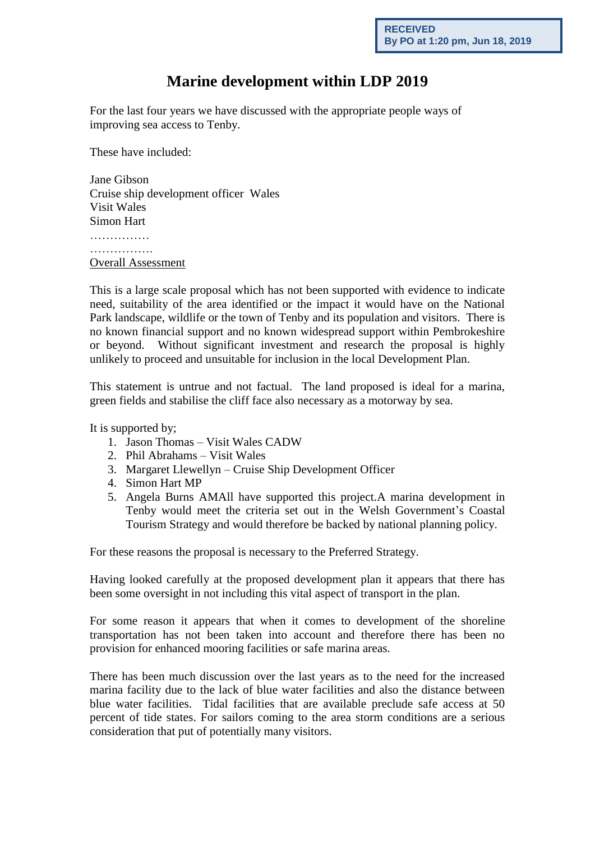## **Marine development within LDP 2019**

For the last four years we have discussed with the appropriate people ways of improving sea access to Tenby.

These have included:

Jane Gibson Cruise ship development officer Wales Visit Wales Simon Hart …………… ……………. Overall Assessment

This is a large scale proposal which has not been supported with evidence to indicate need, suitability of the area identified or the impact it would have on the National Park landscape, wildlife or the town of Tenby and its population and visitors. There is no known financial support and no known widespread support within Pembrokeshire or beyond. Without significant investment and research the proposal is highly unlikely to proceed and unsuitable for inclusion in the local Development Plan.

This statement is untrue and not factual. The land proposed is ideal for a marina, green fields and stabilise the cliff face also necessary as a motorway by sea.

It is supported by;

- 1. Jason Thomas Visit Wales CADW
- 2. Phil Abrahams Visit Wales
- 3. Margaret Llewellyn Cruise Ship Development Officer
- 4. Simon Hart MP
- 5. Angela Burns AMAll have supported this project.A marina development in Tenby would meet the criteria set out in the Welsh Government's Coastal Tourism Strategy and would therefore be backed by national planning policy.

For these reasons the proposal is necessary to the Preferred Strategy.

Having looked carefully at the proposed development plan it appears that there has been some oversight in not including this vital aspect of transport in the plan.

For some reason it appears that when it comes to development of the shoreline transportation has not been taken into account and therefore there has been no provision for enhanced mooring facilities or safe marina areas.

There has been much discussion over the last years as to the need for the increased marina facility due to the lack of blue water facilities and also the distance between blue water facilities. Tidal facilities that are available preclude safe access at 50 percent of tide states. For sailors coming to the area storm conditions are a serious consideration that put of potentially many visitors.